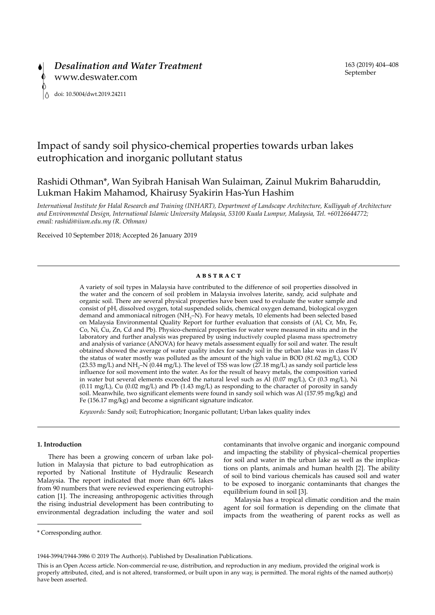

# Impact of sandy soil physico-chemical properties towards urban lakes eutrophication and inorganic pollutant status

## Rashidi Othman\*, Wan Syibrah Hanisah Wan Sulaiman, Zainul Mukrim Baharuddin, Lukman Hakim Mahamod, Khairusy Syakirin Has-Yun Hashim

*International Institute for Halal Research and Training (INHART), Department of Landscape Architecture, Kulliyyah of Architecture and Environmental Design, International Islamic University Malaysia, 53100 Kuala Lumpur, Malaysia, Tel. +60126644772; email: rashidi@iium.edu.my (R. Othman)*

Received 10 September 2018; Accepted 26 January 2019

#### **abstract**

A variety of soil types in Malaysia have contributed to the difference of soil properties dissolved in the water and the concern of soil problem in Malaysia involves laterite, sandy, acid sulphate and organic soil. There are several physical properties have been used to evaluate the water sample and consist of pH, dissolved oxygen, total suspended solids, chemical oxygen demand, biological oxygen demand and ammoniacal nitrogen (NH<sub>3</sub>-N). For heavy metals, 10 elements had been selected based on Malaysia Environmental Quality Report for further evaluation that consists of (Al, Cr, Mn, Fe, Co, Ni, Cu, Zn, Cd and Pb). Physico-chemical properties for water were measured in situ and in the laboratory and further analysis was prepared by using inductively coupled plasma mass spectrometry and analysis of variance (ANOVA) for heavy metals assessment equally for soil and water. The result obtained showed the average of water quality index for sandy soil in the urban lake was in class IV the status of water mostly was polluted as the amount of the high value in BOD (81.62 mg/L), COD (23.53 mg/L) and NH<sub>3</sub>–N (0.44 mg/L). The level of TSS was low (27.18 mg/L) as sandy soil particle less influence for soil movement into the water. As for the result of heavy metals, the composition varied in water but several elements exceeded the natural level such as Al  $(0.07 \text{ mg/L})$ , Cr  $(0.3 \text{ mg/L})$ , Ni (0.11 mg/L), Cu (0.02 mg/L) and Pb (1.43 mg/L) as responding to the character of porosity in sandy soil. Meanwhile, two significant elements were found in sandy soil which was Al (157.95 mg/kg) and Fe (156.17 mg/kg) and become a significant signature indicator.

*Keywords:* Sandy soil; Eutrophication; Inorganic pollutant; Urban lakes quality index

### **1. Introduction**

There has been a growing concern of urban lake pollution in Malaysia that picture to bad eutrophication as reported by National Institute of Hydraulic Research Malaysia. The report indicated that more than 60% lakes from 90 numbers that were reviewed experiencing eutrophication [1]. The increasing anthropogenic activities through the rising industrial development has been contributing to environmental degradation including the water and soil contaminants that involve organic and inorganic compound and impacting the stability of physical–chemical properties for soil and water in the urban lake as well as the implications on plants, animals and human health [2]. The ability of soil to bind various chemicals has caused soil and water to be exposed to inorganic contaminants that changes the equilibrium found in soil [3].

Malaysia has a tropical climatic condition and the main agent for soil formation is depending on the climate that impacts from the weathering of parent rocks as well as

<sup>\*</sup> Corresponding author.

<sup>1944-3994/1944-3986 © 2019</sup> The Author(s). Published by Desalination Publications.

This is an Open Access article. Non-commercial re-use, distribution, and reproduction in any medium, provided the original work is properly attributed, cited, and is not altered, transformed, or built upon in any way, is permitted. The moral rights of the named author(s) have been asserted.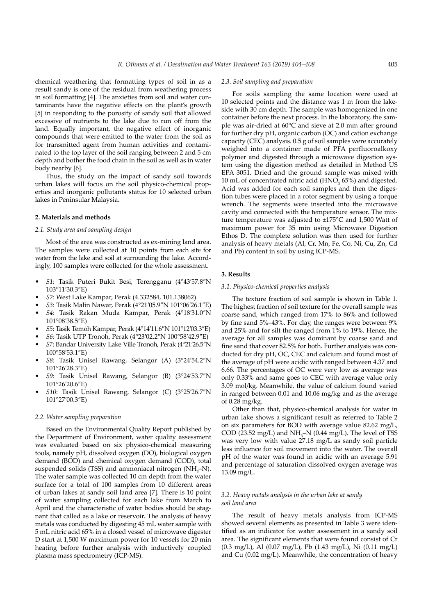chemical weathering that formatting types of soil in as a result sandy is one of the residual from weathering process in soil formatting [4]. The anxieties from soil and water contaminants have the negative effects on the plant's growth [5] in responding to the porosity of sandy soil that allowed excessive of nutrients to the lake due to run off from the land. Equally important, the negative effect of inorganic compounds that were emitted to the water from the soil as for transmitted agent from human activities and contaminated to the top layer of the soil ranging between 2 and 5 cm depth and bother the food chain in the soil as well as in water body nearby [6].

Thus, the study on the impact of sandy soil towards urban lakes will focus on the soil physico-chemical properties and inorganic pollutants status for 10 selected urban lakes in Peninsular Malaysia.

#### **2. Materials and methods**

#### *2.1. Study area and sampling design*

Most of the area was constructed as ex-mining land area. The samples were collected at 10 points from each site for water from the lake and soil at surrounding the lake. Accordingly, 100 samples were collected for the whole assessment.

- • *S1*: Tasik Puteri Bukit Besi, Terengganu (4°43′57.8″N 103°11′30.3″E)
- • *S2*: West Lake Kampar, Perak (4.332584, 101.138062)
- • *S3*: Tasik Malin Nawar, Perak (4°21′05.9″N 101°06′26.1″E)
- 54: Tasik Rakan Muda Kampar, Perak (4°18'31.0"N 101°08′38.5″E)
- • *S5*: Tasik Temoh Kampar, Perak (4°14′11.6″N 101°12′03.3″E)
- • *S6*: Tasik UTP Tronoh, Perak (4°23′02.2″N 100°58′42.9″E)
- 57: Bandar University Lake Ville Tronoh, Perak (4°21'26.5"N 100°58′53.1″E)
- 58: Tasik Unisel Rawang, Selangor (A) (3°24'54.2"N 101°26′28.3″E)
- 59: Tasik Unisel Rawang, Selangor (B) (3°24'53.7"N 101°26′20.6″E)
- 510: Tasik Unisel Rawang, Selangor (C) (3°25'26.7"N 101°27′00.3″E)

## *2.2. Water sampling preparation*

Based on the Environmental Quality Report published by the Department of Environment, water quality assessment was evaluated based on six physico-chemical measuring tools, namely pH, dissolved oxygen (DO), biological oxygen demand (BOD) and chemical oxygen demand (COD), total suspended solids (TSS) and ammoniacal nitrogen  $(NH<sub>3</sub>-N)$ . The water sample was collected 10 cm depth from the water surface for a total of 100 samples from 10 different areas of urban lakes at sandy soil land area [7]. There is 10 point of water sampling collected for each lake from March to April and the characteristic of water bodies should be stagnant that called as a lake or reservoir. The analysis of heavy metals was conducted by digesting 45 mL water sample with 5 mL nitric acid 65% in a closed vessel of microwave digester D start at 1,500 W maximum power for 10 vessels for 20 min heating before further analysis with inductively coupled plasma mass spectrometry (ICP-MS).

### *2.3. Soil sampling and preparation*

For soils sampling the same location were used at 10 selected points and the distance was 1 m from the lakeside with 30 cm depth. The sample was homogenized in one container before the next process. In the laboratory, the sample was air-dried at 60°C and sieve at 2.0 mm after ground for further dry pH, organic carbon (OC) and cation exchange capacity (CEC) analysis. 0.5 g of soil samples were accurately weighed into a container made of PFA perfluoroalkoxy polymer and digested through a microwave digestion system using the digestion method as detailed in Method US EPA 3051. Dried and the ground sample was mixed with 10 mL of concentrated nitric acid ( $HNO<sub>3</sub>$  65%) and digested. Acid was added for each soil samples and then the digestion tubes were placed in a rotor segment by using a torque wrench. The segments were inserted into the microwave cavity and connected with the temperature sensor. The mixture temperature was adjusted to ±175°C and 1,500 Watt of maximum power for 35 min using Microwave Digestion Ethos D. The complete solution was then used for further analysis of heavy metals (Al, Cr, Mn, Fe, Co, Ni, Cu, Zn, Cd and Pb) content in soil by using ICP-MS.

## **3. Results**

#### *3.1. Physico-chemical properties analysis*

The texture fraction of soil sample is shown in Table 1. The highest fraction of soil texture for the overall sample was coarse sand, which ranged from 17% to 86% and followed by fine sand 5%–43%. For clay, the ranges were between 9% and 25% and for silt the ranged from 1% to 19%. Hence, the average for all samples was dominant by coarse sand and fine sand that cover 82.5% for both. Further analysis was conducted for dry pH, OC, CEC and calcium and found most of the average of pH were acidic with ranged between 4.37 and 6.66. The percentages of OC were very low as average was only 0.33% and same goes to CEC with average value only 3.09 mol/kg. Meanwhile, the value of calcium found varied in ranged between 0.01 and 10.06 mg/kg and as the average of 0.28 mg/kg.

Other than that, physico-chemical analysis for water in urban lake shows a significant result as referred to Table 2 on six parameters for BOD with average value 82.62 mg/L, COD (23.52 mg/L) and  $NH<sub>3</sub>-N$  (0.44 mg/L). The level of TSS was very low with value 27.18 mg/L as sandy soil particle less influence for soil movement into the water. The overall pH of the water was found in acidic with an average 5.91 and percentage of saturation dissolved oxygen average was 13.09 mg/L.

## *3.2. Heavy metals analysis in the urban lake at sandy soil land area*

The result of heavy metals analysis from ICP-MS showed several elements as presented in Table 3 were identified as an indicator for water assessment in a sandy soil area. The significant elements that were found consist of Cr (0.3 mg/L), Al (0.07 mg/L), Pb (1.43 mg/L), Ni (0.11 mg/L) and Cu (0.02 mg/L). Meanwhile, the concentration of heavy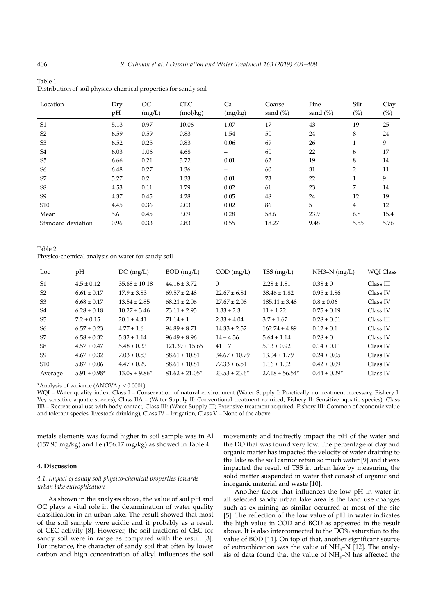| Location           | Dry<br>pH | <b>OC</b><br>(mg/L) | <b>CEC</b><br>(mol/kg) | Ca<br>(mg/kg) | Coarse<br>sand $(\%)$ | Fine<br>sand $(\% )$ | Silt<br>$(\%)$ | Clay<br>$(\%)$ |
|--------------------|-----------|---------------------|------------------------|---------------|-----------------------|----------------------|----------------|----------------|
| S <sub>1</sub>     | 5.13      | 0.97                | 10.06                  | 1.07          | 17                    | 43                   | 19             | 25             |
| S <sub>2</sub>     | 6.59      | 0.59                | 0.83                   | 1.54          | 50                    | 24                   | 8              | 24             |
| S <sub>3</sub>     | 6.52      | 0.25                | 0.83                   | 0.06          | 69                    | 26                   | 1              | 9              |
| S <sub>4</sub>     | 6.03      | 1.06                | 4.68                   |               | 60                    | 22                   | 6              | 17             |
| S <sub>5</sub>     | 6.66      | 0.21                | 3.72                   | 0.01          | 62                    | 19                   | 8              | 14             |
| S <sub>6</sub>     | 6.48      | 0.27                | 1.36                   |               | 60                    | 31                   | $\overline{2}$ | 11             |
| S7                 | 5.27      | 0.2                 | 1.33                   | 0.01          | 73                    | 22                   | 1              | 9              |
| S <sub>8</sub>     | 4.53      | 0.11                | 1.79                   | 0.02          | 61                    | 23                   | 7              | 14             |
| S <sub>9</sub>     | 4.37      | 0.45                | 4.28                   | 0.05          | 48                    | 24                   | 12             | 19             |
| S <sub>10</sub>    | 4.45      | 0.36                | 2.03                   | 0.02          | 86                    | 5                    | $\overline{4}$ | 12             |
| Mean               | 5.6       | 0.45                | 3.09                   | 0.28          | 58.6                  | 23.9                 | 6.8            | 15.4           |
| Standard deviation | 0.96      | 0.33                | 2.83                   | 0.55          | 18.27                 | 9.48                 | 5.55           | 5.76           |

Table 1 Distribution of soil physico-chemical properties for sandy soil

Table 2

Physico-chemical analysis on water for sandy soil

| Loc             | pH                | DO(mg/L)          | $BOD$ (mg/L)        | $COD$ (mg/L)       | TSS(mg/L)          | $NH3-N$ (mg/L)   | <b>WOI Class</b> |
|-----------------|-------------------|-------------------|---------------------|--------------------|--------------------|------------------|------------------|
| S <sub>1</sub>  | $4.5 \pm 0.12$    | $35.88 \pm 10.18$ | $44.16 \pm 3.72$    | $\Omega$           | $2.28 \pm 1.81$    | $0.38 \pm 0$     | Class III        |
| S <sub>2</sub>  | $6.61 \pm 0.17$   | $17.9 \pm 3.83$   | $69.57 \pm 2.48$    | $22.67 \pm 6.81$   | $38.46 \pm 1.82$   | $0.95 \pm 1.86$  | Class IV         |
| S <sub>3</sub>  | $6.68 \pm 0.17$   | $13.54 \pm 2.85$  | $68.21 \pm 2.06$    | $27.67 \pm 2.08$   | $185.11 \pm 3.48$  | $0.8 \pm 0.06$   | Class IV         |
| S4              | $6.28 \pm 0.18$   | $10.27 \pm 3.46$  | $73.11 \pm 2.95$    | $1.33 \pm 2.3$     | $11 \pm 1.22$      | $0.75 \pm 0.19$  | Class IV         |
| S <sub>5</sub>  | $7.2 \pm 0.15$    | $20.1 \pm 4.41$   | $71.14 + 1$         | $2.33 \pm 4.04$    | $3.7 \pm 1.67$     | $0.28 \pm 0.01$  | Class III        |
| S6              | $6.57 \pm 0.23$   | $4.77 \pm 1.6$    | $94.89 \pm 8.71$    | $14.33 \pm 2.52$   | $162.74 \pm 4.89$  | $0.12 \pm 0.1$   | Class IV         |
| S7              | $6.58 \pm 0.32$   | $5.32 \pm 1.14$   | $96.49 \pm 8.96$    | $14 \pm 4.36$      | $5.64 \pm 1.14$    | $0.28 \pm 0$     | Class IV         |
| S8              | $4.57 \pm 0.47$   | $5.48 \pm 0.33$   | $121.39 \pm 15.65$  | $41 \pm 7$         | $5.13 \pm 0.92$    | $0.14 \pm 0.11$  | Class IV         |
| S9              | $4.67 \pm 0.32$   | $7.03 \pm 0.53$   | $88.61 \pm 10.81$   | $34.67 \pm 10.79$  | $13.04 \pm 1.79$   | $0.24 \pm 0.05$  | Class IV         |
| S <sub>10</sub> | $5.87 \pm 0.06$   | $4.47 \pm 0.29$   | $88.61 \pm 10.81$   | $77.33 \pm 6.51$   | $1.16 \pm 1.02$    | $0.42 \pm 0.09$  | Class IV         |
| Average         | $5.91 \pm 0.98^*$ | $13.09 \pm 9.86*$ | $81.62 \pm 21.05^*$ | $23.53 \pm 23.6^*$ | $27.18 \pm 56.54*$ | $0.44 \pm 0.29*$ | Class IV         |

\*Analysis of variance (ANOVA *p* < 0.0001).

WQI = Water quality index, Class I = Conservation of natural environment (Water Supply I: Practically no treatment necessary, Fishery I: Vey sensitive aquatic species), Class IIA = (Water Supply II: Conventional treatment required, Fishery II: Sensitive aquatic species), Class IIB = Recreational use with body contact, Class III: (Water Supply III; Extensive treatment required, Fishery III: Common of economic value and tolerant species, livestock drinking), Class  $IV = Irrigation$ , Class  $V = None$  of the above.

metals elements was found higher in soil sample was in Al  $(157.95 \text{ mg/kg})$  and Fe  $(156.17 \text{ mg/kg})$  as showed in Table 4.

## **4. Discussion**

## *4.1. Impact of sandy soil physico-chemical properties towards urban lake eutrophication*

As shown in the analysis above, the value of soil pH and OC plays a vital role in the determination of water quality classification in an urban lake. The result showed that most of the soil sample were acidic and it probably as a result of CEC activity [8]. However, the soil fractions of CEC for sandy soil were in range as compared with the result [3]. For instance, the character of sandy soil that often by lower carbon and high concentration of alkyl influences the soil movements and indirectly impact the pH of the water and the DO that was found very low. The percentage of clay and organic matter has impacted the velocity of water draining to the lake as the soil cannot retain so much water [9] and it was impacted the result of TSS in urban lake by measuring the solid matter suspended in water that consist of organic and inorganic material and waste [10].

Another factor that influences the low pH in water in all selected sandy urban lake area is the land use changes such as ex-mining as similar occurred at most of the site [5]. The reflection of the low value of pH in water indicates the high value in COD and BOD as appeared in the result above. It is also interconnected to the DO% saturation to the value of BOD [11]. On top of that, another significant source of eutrophication was the value of  $NH<sub>3</sub>-N$  [12]. The analysis of data found that the value of  $NH<sub>3</sub>-N$  has affected the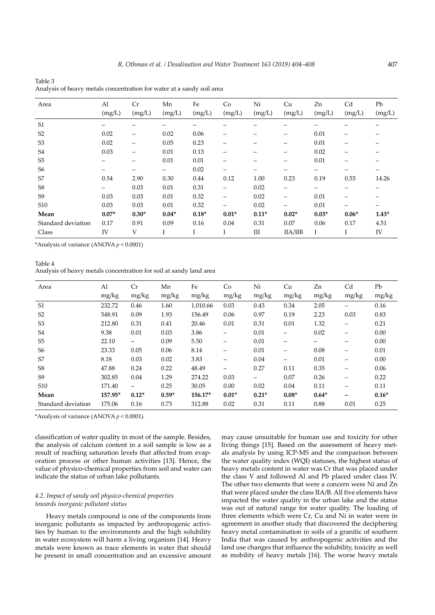| Area               | Al      | Cr      | Mn                | Fe      | Co      | Ni      | Cu                       | Zn      | Cd      | Pb      |
|--------------------|---------|---------|-------------------|---------|---------|---------|--------------------------|---------|---------|---------|
|                    | (mg/L)  | (mg/L)  | (mg/L)            | (mg/L)  | (mg/L)  | (mg/L)  | (mg/L)                   | (mg/L)  | (mg/L)  | (mg/L)  |
| S <sub>1</sub>     |         |         | -                 |         |         | —       |                          |         |         |         |
| S <sub>2</sub>     | 0.02    | -       | 0.02              | 0.06    | —       | —       | $\overline{\phantom{m}}$ | 0.01    |         |         |
| S <sub>3</sub>     | 0.02    | -       | 0.05              | 0.23    | -       | —       | —                        | 0.01    |         |         |
| S <sub>4</sub>     | 0.03    |         | 0.01              | 0.13    | -       | -       | —                        | 0.02    |         |         |
| S <sub>5</sub>     |         |         | 0.01              | 0.01    |         |         |                          | 0.01    |         |         |
| S <sub>6</sub>     |         | —       | $\qquad \qquad -$ | 0.02    | -       | -       | —                        | —       |         |         |
| S7                 | 0.54    | 2.90    | 0.30              | 0.44    | 0.12    | 1.00    | 0.23                     | 0.19    | 0.55    | 14.26   |
| S8                 | -       | 0.03    | 0.01              | 0.31    | -       | 0.02    | -                        |         |         |         |
| S <sub>9</sub>     | 0.03    | 0.03    | 0.01              | 0.32    | -       | 0.02    | —                        | 0.01    |         |         |
| S <sub>10</sub>    | 0.03    | 0.03    | 0.01              | 0.32    | —       | 0.02    |                          | 0.01    |         |         |
| Mean               | $0.07*$ | $0.30*$ | $0.04*$           | $0.18*$ | $0.01*$ | $0.11*$ | $0.02*$                  | $0.03*$ | $0.06*$ | $1.43*$ |
| Standard deviation | 0.17    | 0.91    | 0.09              | 0.16    | 0.04    | 0.31    | 0.07                     | 0.06    | 0.17    | 4.51    |
| Class              | IV      | V       | т<br>1            |         |         | Ш       | IIA/IIB                  | Ι       | Ι       | IV      |

Table 3 Analysis of heavy metals concentration for water at a sandy soil area

\*Analysis of variance (ANOVA *p* < 0.0001)

Table 4 Analysis of heavy metals concentration for soil at sandy land area

| Area               | Al      | Cr      | Mn      | Fe       | Co                       | Ni                       | Cu                       | Zn      | C <sub>d</sub>           | Pb      |
|--------------------|---------|---------|---------|----------|--------------------------|--------------------------|--------------------------|---------|--------------------------|---------|
|                    | mg/kg   | mg/kg   | mg/kg   | mg/kg    | mg/kg                    | mg/kg                    | mg/kg                    | mg/kg   | mg/kg                    | mg/kg   |
| S <sub>1</sub>     | 232.72  | 0.46    | 1.60    | 1,010.66 | 0.03                     | 0.43                     | 0.34                     | 2.05    | —                        | 0.16    |
| S <sub>2</sub>     | 548.91  | 0.09    | 1.93    | 156.49   | 0.06                     | 0.97                     | 0.19                     | 2.23    | 0.03                     | 0.83    |
| S <sub>3</sub>     | 212.80  | 0.31    | 0.41    | 20.46    | 0.01                     | 0.31                     | 0.01                     | 1.32    | -                        | 0.21    |
| S <sub>4</sub>     | 9.38    | 0.01    | 0.03    | 3.86     | $\overline{\phantom{0}}$ | 0.01                     |                          | 0.02    | -                        | 0.00    |
| S <sub>5</sub>     | 22.10   | -       | 0.09    | 5.50     | —                        | 0.01                     | $\overline{\phantom{0}}$ | -       | -                        | 0.00    |
| S <sub>6</sub>     | 23.33   | 0.05    | 0.06    | 8.14     | —                        | 0.01                     |                          | 0.08    | -                        | 0.01    |
| S7                 | 8.18    | 0.03    | 0.02    | 3.83     | $\overline{\phantom{0}}$ | 0.04                     |                          | 0.01    | -                        | 0.00    |
| S <sub>8</sub>     | 47.88   | 0.24    | 0.22    | 48.49    | —                        | 0.27                     | 0.11                     | 0.35    |                          | 0.06    |
| S <sub>9</sub>     | 302.85  | 0.04    | 1.29    | 274.22   | 0.03                     | $\overline{\phantom{0}}$ | 0.07                     | 0.26    | -                        | 0.22    |
| S <sub>10</sub>    | 171.40  | -       | 0.25    | 30.05    | 0.00                     | 0.02                     | 0.04                     | 0.11    | $\overline{\phantom{0}}$ | 0.11    |
| Mean               | 157.95* | $0.12*$ | $0.59*$ | 156.17*  | $0.01*$                  | $0.21*$                  | $0.08*$                  | $0.64*$ | -                        | $0.16*$ |
| Standard deviation | 175.06  | 0.16    | 0.73    | 312.88   | 0.02                     | 0.31                     | 0.11                     | 0.88    | 0.01                     | 0.25    |

\*Analysis of variance (ANOVA *p* < 0.0001).

classification of water quality in most of the sample. Besides, the analysis of calcium content in a soil sample is low as a result of reaching saturation levels that affected from evaporation process or other human activities [13]. Hence, the value of physico-chemical properties from soil and water can indicate the status of urban lake pollutants.

## *4.2. Impact of sandy soil physico-chemical properties towards inorganic pollutant status*

Heavy metals compound is one of the components from inorganic pollutants as impacted by anthropogenic activities by human to the environments and the high solubility in water ecosystem will harm a living organism [14]. Heavy metals were known as trace elements in water that should be present in small concentration and an excessive amount

may cause unsuitable for human use and toxicity for other living things [15]. Based on the assessment of heavy metals analysis by using ICP-MS and the comparison between the water quality index (WQI) statuses, the highest status of heavy metals content in water was Cr that was placed under the class V and followed Al and Pb placed under class IV. The other two elements that were a concern were Ni and Zn that were placed under the class IIA/B. All five elements have impacted the water quality in the urban lake and the status was out of natural range for water quality. The loading of three elements which were Cr, Cu and Ni in water were in agreement in another study that discovered the deciphering heavy metal contamination in soils of a granitic of southern India that was caused by anthropogenic activities and the land use changes that influence the solubility, toxicity as well as mobility of heavy metals [16]. The worse heavy metals